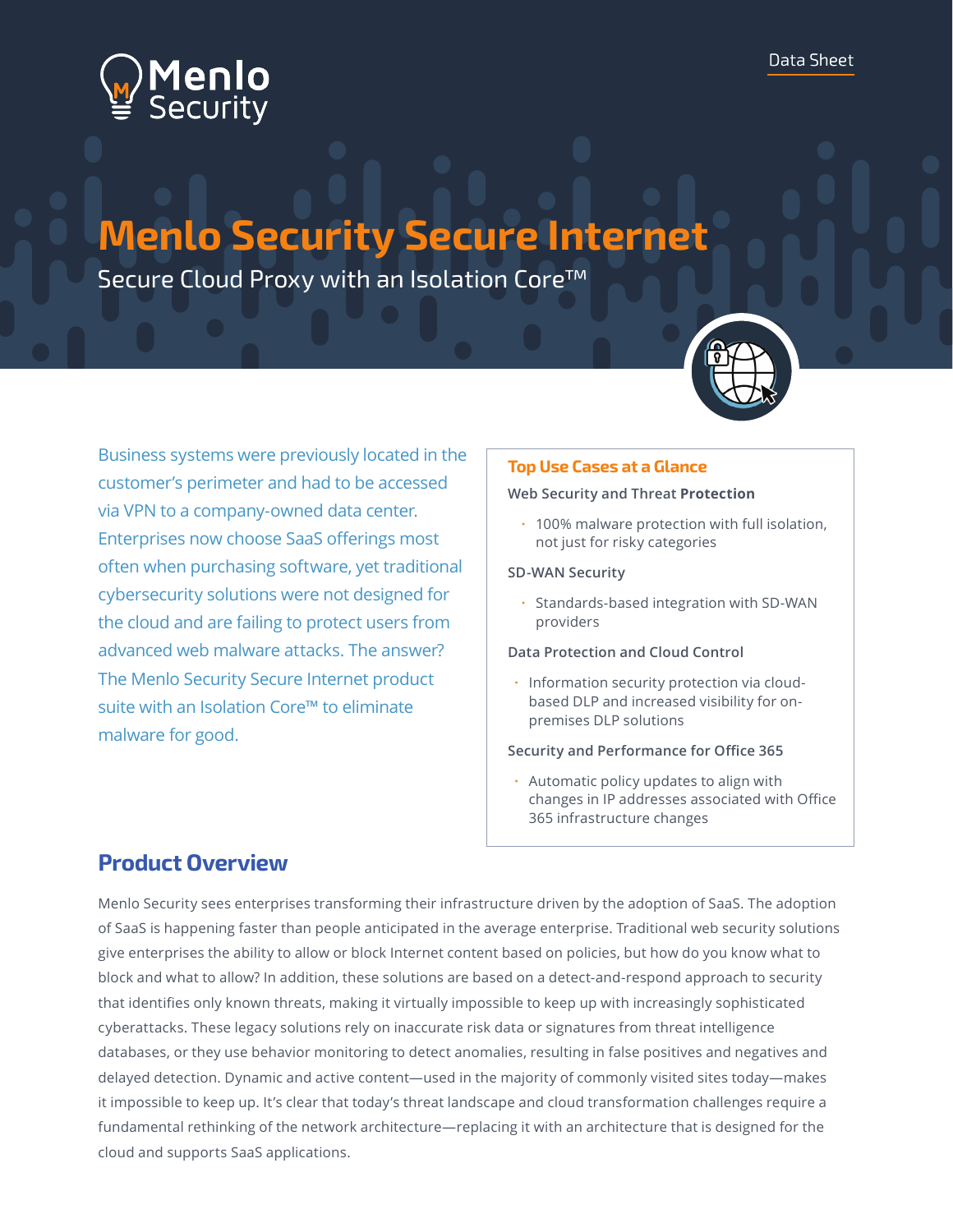

# **Menlo Security Secure Internet**

Secure Cloud Proxy with an Isolation Core™



Business systems were previously located in the customer's perimeter and had to be accessed via VPN to a company-owned data center. Enterprises now choose SaaS offerings most often when purchasing software, yet traditional cybersecurity solutions were not designed for the cloud and are failing to protect users from advanced web malware attacks. The answer? The Menlo Security Secure Internet product suite with an Isolation Core™ to eliminate malware for good.

### **Top Use Cases at a Glance**

#### **Web Security and Threat Protection**

• 100% malware protection with full isolation, not just for risky categories

#### **SD-WAN Security**

• Standards-based integration with SD-WAN providers

#### **Data Protection and Cloud Control**

• Information security protection via cloudbased DLP and increased visibility for onpremises DLP solutions

#### **Security and Performance for Office 365**

• Automatic policy updates to align with changes in IP addresses associated with Office 365 infrastructure changes

### **Product Overview**

Menlo Security sees enterprises transforming their infrastructure driven by the adoption of SaaS. The adoption of SaaS is happening faster than people anticipated in the average enterprise. Traditional web security solutions give enterprises the ability to allow or block Internet content based on policies, but how do you know what to block and what to allow? In addition, these solutions are based on a detect-and-respond approach to security that identifies only known threats, making it virtually impossible to keep up with increasingly sophisticated cyberattacks. These legacy solutions rely on inaccurate risk data or signatures from threat intelligence databases, or they use behavior monitoring to detect anomalies, resulting in false positives and negatives and delayed detection. Dynamic and active content—used in the majority of commonly visited sites today—makes it impossible to keep up. It's clear that today's threat landscape and cloud transformation challenges require a fundamental rethinking of the network architecture—replacing it with an architecture that is designed for the cloud and supports SaaS applications.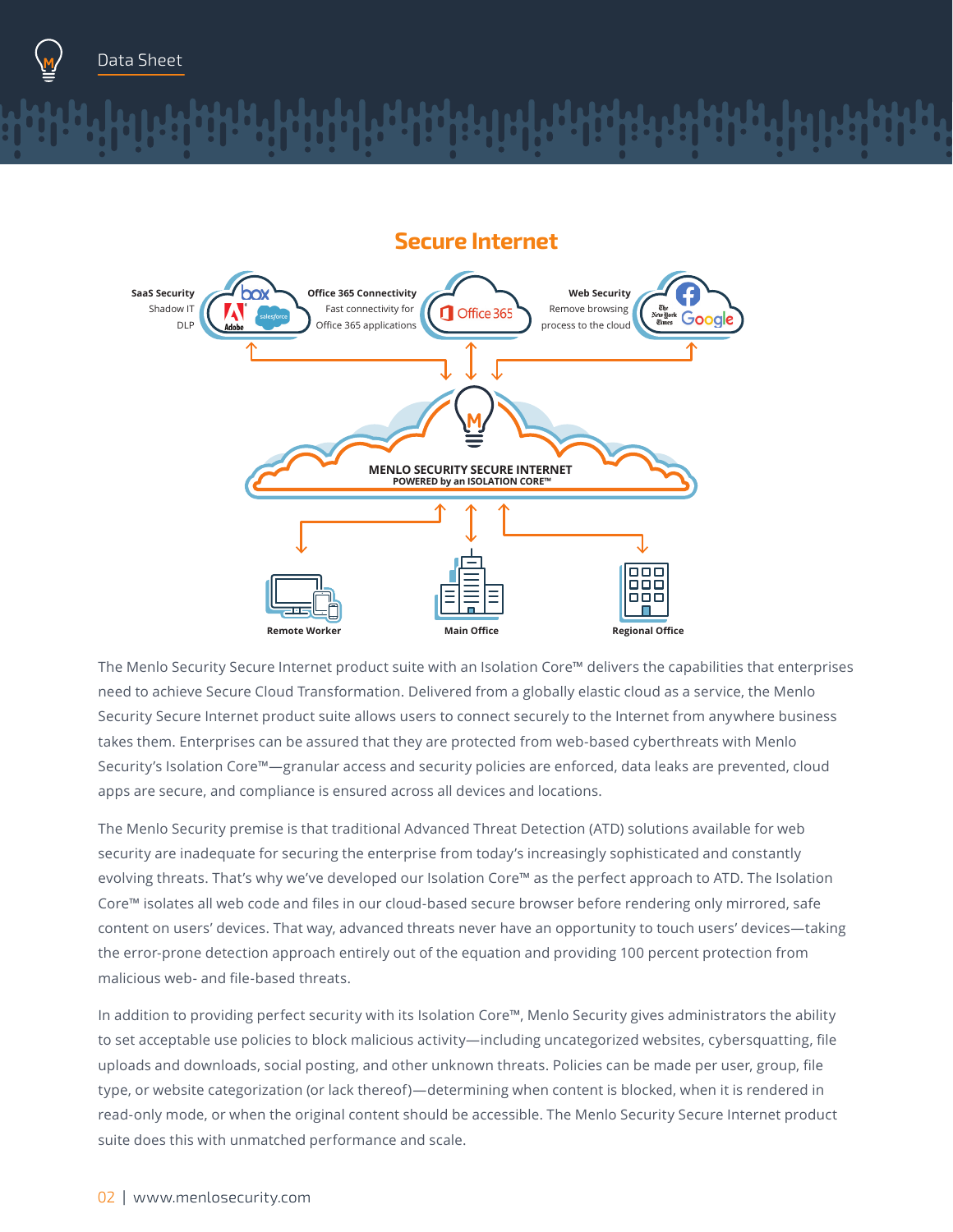

### **Secure Internet**



The Menlo Security Secure Internet product suite with an Isolation Core™ delivers the capabilities that enterprises need to achieve Secure Cloud Transformation. Delivered from a globally elastic cloud as a service, the Menlo Security Secure Internet product suite allows users to connect securely to the Internet from anywhere business takes them. Enterprises can be assured that they are protected from web-based cyberthreats with Menlo Security's Isolation Core™—granular access and security policies are enforced, data leaks are prevented, cloud apps are secure, and compliance is ensured across all devices and locations.

The Menlo Security premise is that traditional Advanced Threat Detection (ATD) solutions available for web security are inadequate for securing the enterprise from today's increasingly sophisticated and constantly evolving threats. That's why we've developed our Isolation Core™ as the perfect approach to ATD. The Isolation Core™ isolates all web code and files in our cloud-based secure browser before rendering only mirrored, safe content on users' devices. That way, advanced threats never have an opportunity to touch users' devices—taking the error-prone detection approach entirely out of the equation and providing 100 percent protection from malicious web- and file-based threats.

In addition to providing perfect security with its Isolation Core™, Menlo Security gives administrators the ability to set acceptable use policies to block malicious activity—including uncategorized websites, cybersquatting, file uploads and downloads, social posting, and other unknown threats. Policies can be made per user, group, file type, or website categorization (or lack thereof)—determining when content is blocked, when it is rendered in read-only mode, or when the original content should be accessible. The Menlo Security Secure Internet product suite does this with unmatched performance and scale.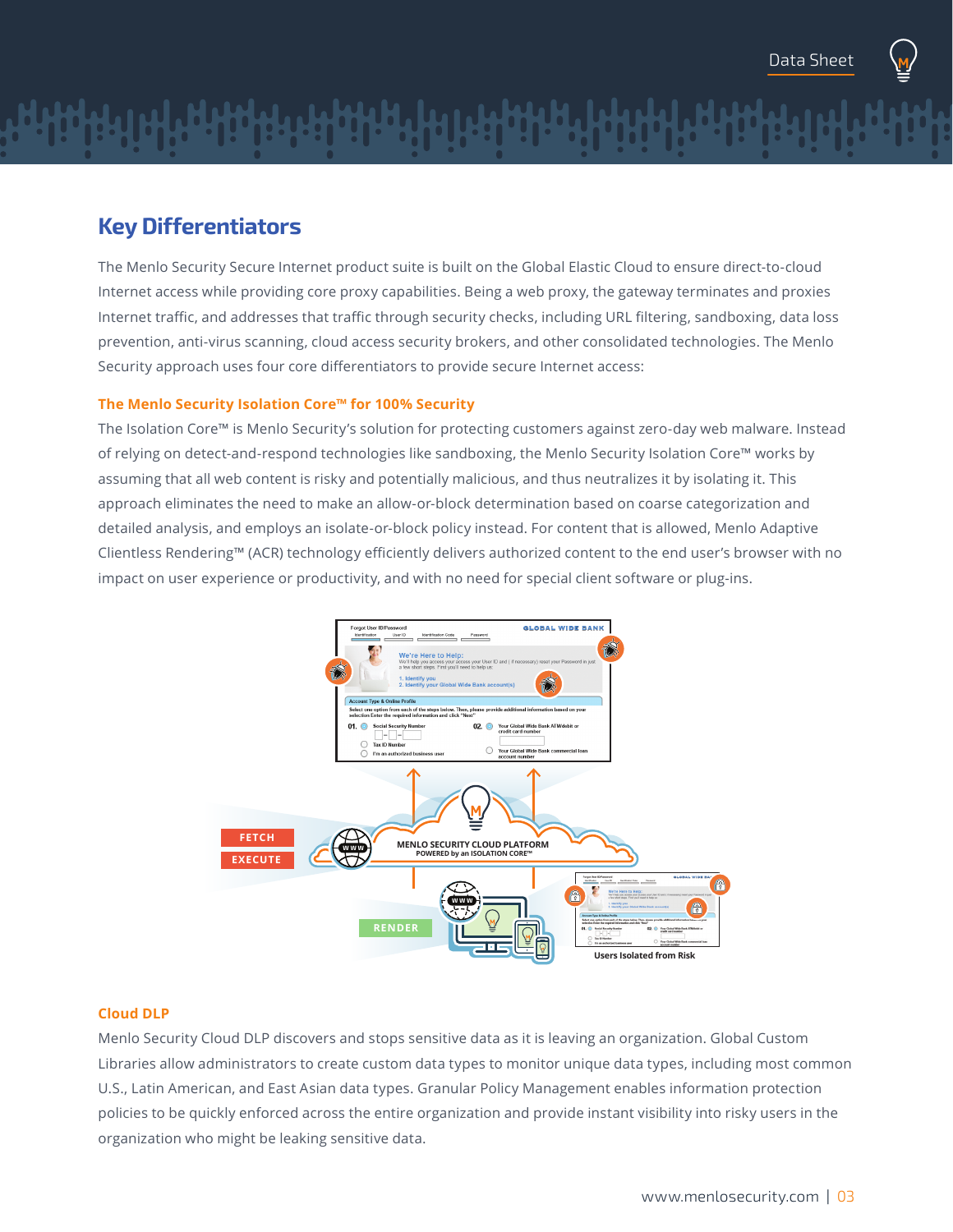

The Menlo Security Secure Internet product suite is built on the Global Elastic Cloud to ensure direct-to-cloud Internet access while providing core proxy capabilities. Being a web proxy, the gateway terminates and proxies Internet traffic, and addresses that traffic through security checks, including URL filtering, sandboxing, data loss prevention, anti-virus scanning, cloud access security brokers, and other consolidated technologies. The Menlo Security approach uses four core differentiators to provide secure Internet access:

#### **The Menlo Security Isolation Core™ for 100% Security**

The Isolation Core™ is Menlo Security's solution for protecting customers against zero-day web malware. Instead of relying on detect-and-respond technologies like sandboxing, the Menlo Security Isolation Core™ works by assuming that all web content is risky and potentially malicious, and thus neutralizes it by isolating it. This approach eliminates the need to make an allow-or-block determination based on coarse categorization and detailed analysis, and employs an isolate-or-block policy instead. For content that is allowed, Menlo Adaptive Clientless Rendering™ (ACR) technology efficiently delivers authorized content to the end user's browser with no impact on user experience or productivity, and with no need for special client software or plug-ins.



#### **Cloud DLP**

Menlo Security Cloud DLP discovers and stops sensitive data as it is leaving an organization. Global Custom Libraries allow administrators to create custom data types to monitor unique data types, including most common U.S., Latin American, and East Asian data types. Granular Policy Management enables information protection policies to be quickly enforced across the entire organization and provide instant visibility into risky users in the organization who might be leaking sensitive data.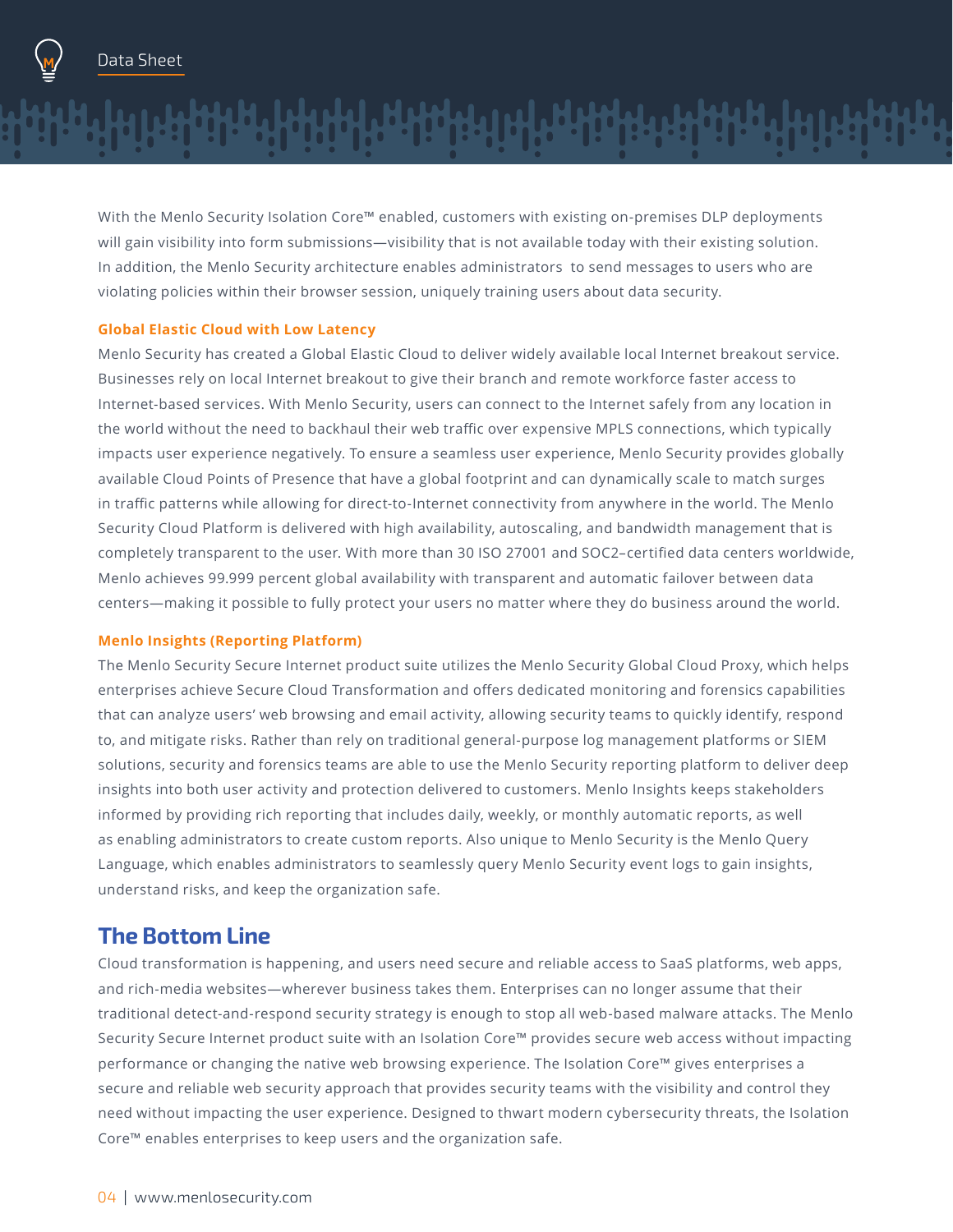

With the Menlo Security Isolation Core™ enabled, customers with existing on-premises DLP deployments will gain visibility into form submissions—visibility that is not available today with their existing solution. In addition, the Menlo Security architecture enables administrators to send messages to users who are violating policies within their browser session, uniquely training users about data security.

#### **Global Elastic Cloud with Low Latency**

Menlo Security has created a Global Elastic Cloud to deliver widely available local Internet breakout service. Businesses rely on local Internet breakout to give their branch and remote workforce faster access to Internet-based services. With Menlo Security, users can connect to the Internet safely from any location in the world without the need to backhaul their web traffic over expensive MPLS connections, which typically impacts user experience negatively. To ensure a seamless user experience, Menlo Security provides globally available Cloud Points of Presence that have a global footprint and can dynamically scale to match surges in traffic patterns while allowing for direct-to-Internet connectivity from anywhere in the world. The Menlo Security Cloud Platform is delivered with high availability, autoscaling, and bandwidth management that is completely transparent to the user. With more than 30 ISO 27001 and SOC2–certified data centers worldwide, Menlo achieves 99.999 percent global availability with transparent and automatic failover between data centers—making it possible to fully protect your users no matter where they do business around the world.

#### **Menlo Insights (Reporting Platform)**

The Menlo Security Secure Internet product suite utilizes the Menlo Security Global Cloud Proxy, which helps enterprises achieve Secure Cloud Transformation and offers dedicated monitoring and forensics capabilities that can analyze users' web browsing and email activity, allowing security teams to quickly identify, respond to, and mitigate risks. Rather than rely on traditional general-purpose log management platforms or SIEM solutions, security and forensics teams are able to use the Menlo Security reporting platform to deliver deep insights into both user activity and protection delivered to customers. Menlo Insights keeps stakeholders informed by providing rich reporting that includes daily, weekly, or monthly automatic reports, as well as enabling administrators to create custom reports. Also unique to Menlo Security is the Menlo Query Language, which enables administrators to seamlessly query Menlo Security event logs to gain insights, understand risks, and keep the organization safe.

### **The Bottom Line**

Cloud transformation is happening, and users need secure and reliable access to SaaS platforms, web apps, and rich-media websites—wherever business takes them. Enterprises can no longer assume that their traditional detect-and-respond security strategy is enough to stop all web-based malware attacks. The Menlo Security Secure Internet product suite with an Isolation Core™ provides secure web access without impacting performance or changing the native web browsing experience. The Isolation Core™ gives enterprises a secure and reliable web security approach that provides security teams with the visibility and control they need without impacting the user experience. Designed to thwart modern cybersecurity threats, the Isolation Core™ enables enterprises to keep users and the organization safe.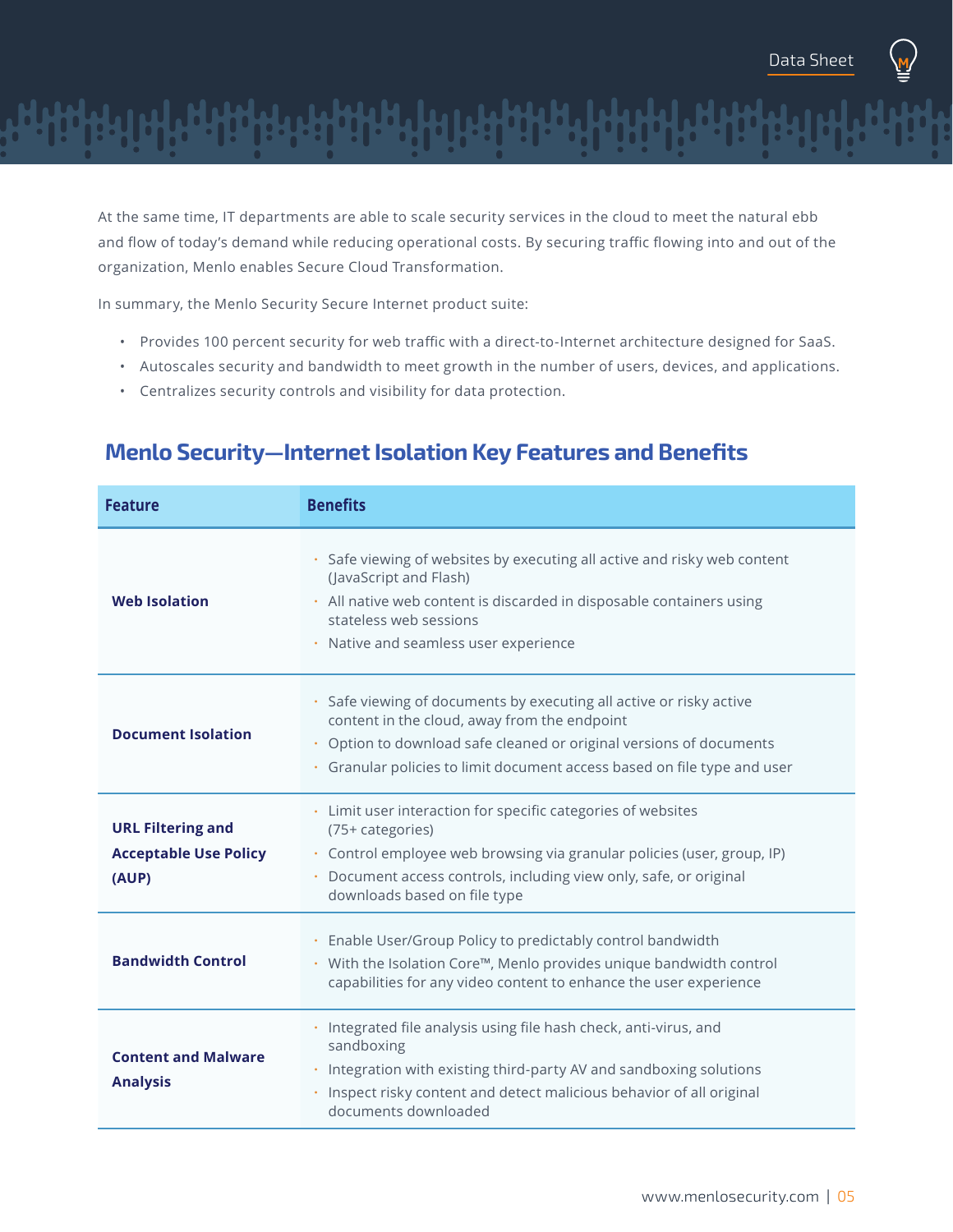

At the same time, IT departments are able to scale security services in the cloud to meet the natural ebb and flow of today's demand while reducing operational costs. By securing traffic flowing into and out of the organization, Menlo enables Secure Cloud Transformation.

In summary, the Menlo Security Secure Internet product suite:

- Provides 100 percent security for web traffic with a direct-to-Internet architecture designed for SaaS.
- Autoscales security and bandwidth to meet growth in the number of users, devices, and applications.
- Centralizes security controls and visibility for data protection.

| <b>Feature</b>                                                    | <b>Benefits</b>                                                                                                                                                                                                                                                  |
|-------------------------------------------------------------------|------------------------------------------------------------------------------------------------------------------------------------------------------------------------------------------------------------------------------------------------------------------|
| <b>Web Isolation</b>                                              | Safe viewing of websites by executing all active and risky web content<br>(JavaScript and Flash)<br>· All native web content is discarded in disposable containers using<br>stateless web sessions<br>· Native and seamless user experience                      |
| <b>Document Isolation</b>                                         | Safe viewing of documents by executing all active or risky active<br>content in the cloud, away from the endpoint<br>Option to download safe cleaned or original versions of documents<br>Granular policies to limit document access based on file type and user |
| <b>URL Filtering and</b><br><b>Acceptable Use Policy</b><br>(AUP) | • Limit user interaction for specific categories of websites<br>(75+ categories)<br>· Control employee web browsing via granular policies (user, group, IP)<br>Document access controls, including view only, safe, or original<br>downloads based on file type  |
| <b>Bandwidth Control</b>                                          | Enable User/Group Policy to predictably control bandwidth<br>• With the Isolation Core™, Menlo provides unique bandwidth control<br>capabilities for any video content to enhance the user experience                                                            |
| <b>Content and Malware</b><br><b>Analysis</b>                     | Integrated file analysis using file hash check, anti-virus, and<br>sandboxing<br>Integration with existing third-party AV and sandboxing solutions<br>Inspect risky content and detect malicious behavior of all original<br>documents downloaded                |

## **Menlo Security—Internet Isolation Key Features and Benefits**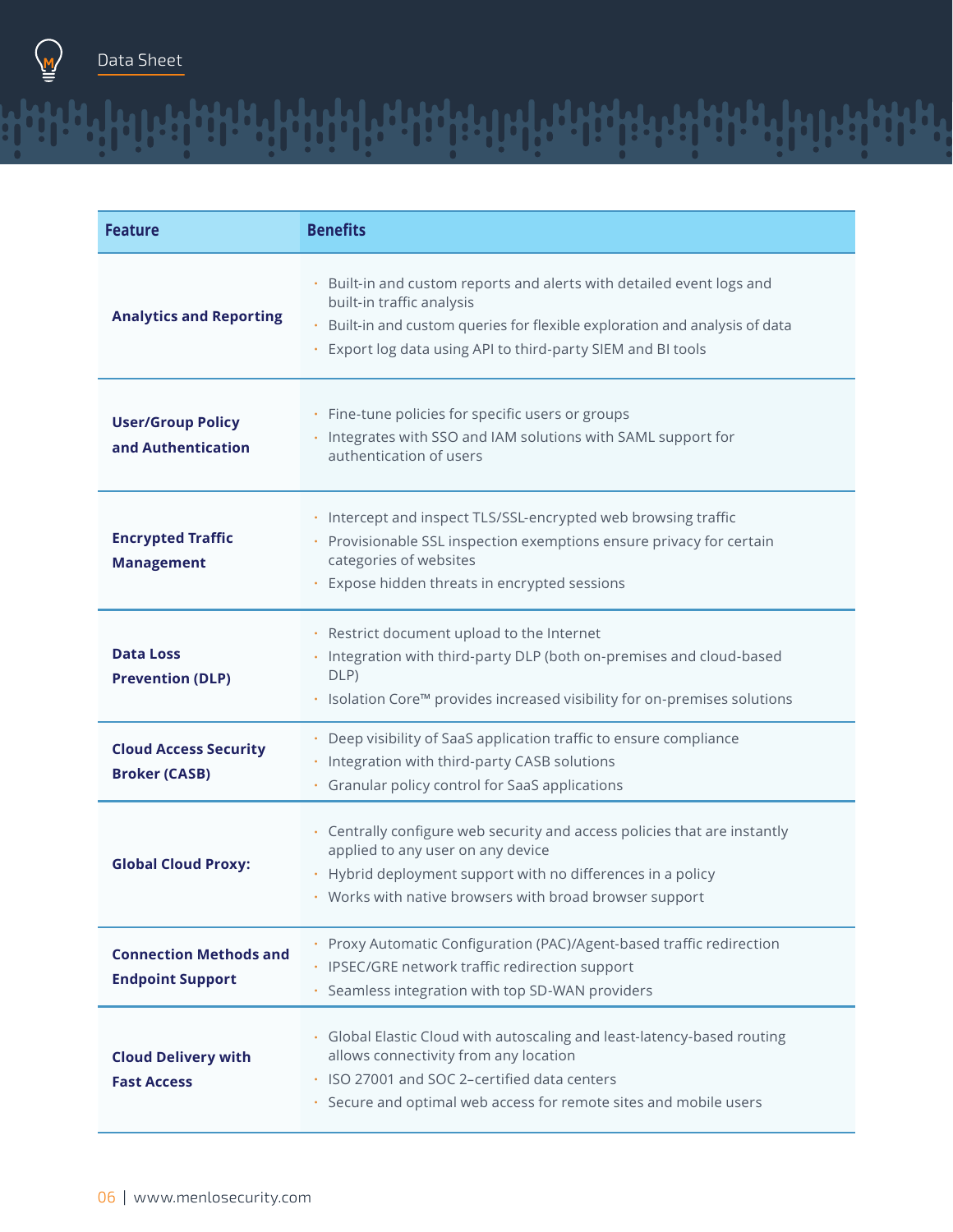

| <b>Feature</b>                                           | <b>Benefits</b>                                                                                                                                                                                                                                       |
|----------------------------------------------------------|-------------------------------------------------------------------------------------------------------------------------------------------------------------------------------------------------------------------------------------------------------|
| <b>Analytics and Reporting</b>                           | Built-in and custom reports and alerts with detailed event logs and<br>۰<br>built-in traffic analysis<br>Built-in and custom queries for flexible exploration and analysis of data<br>۰<br>Export log data using API to third-party SIEM and BI tools |
| <b>User/Group Policy</b><br>and Authentication           | Fine-tune policies for specific users or groups<br>۰<br>· Integrates with SSO and IAM solutions with SAML support for<br>authentication of users                                                                                                      |
| <b>Encrypted Traffic</b><br><b>Management</b>            | Intercept and inspect TLS/SSL-encrypted web browsing traffic<br>٠<br>Provisionable SSL inspection exemptions ensure privacy for certain<br>categories of websites<br>Expose hidden threats in encrypted sessions                                      |
| <b>Data Loss</b><br><b>Prevention (DLP)</b>              | · Restrict document upload to the Internet<br>Integration with third-party DLP (both on-premises and cloud-based<br>DLP)<br>. Isolation Core™ provides increased visibility for on-premises solutions                                                 |
| <b>Cloud Access Security</b><br><b>Broker (CASB)</b>     | • Deep visibility of SaaS application traffic to ensure compliance<br>Integration with third-party CASB solutions<br>Granular policy control for SaaS applications<br>۰                                                                               |
| <b>Global Cloud Proxy:</b>                               | Centrally configure web security and access policies that are instantly<br>applied to any user on any device<br>Hybrid deployment support with no differences in a policy<br>• Works with native browsers with broad browser support                  |
| <b>Connection Methods and</b><br><b>Endpoint Support</b> | Proxy Automatic Configuration (PAC)/Agent-based traffic redirection<br>· IPSEC/GRE network traffic redirection support<br>Seamless integration with top SD-WAN providers<br>¢                                                                         |
| <b>Cloud Delivery with</b><br><b>Fast Access</b>         | Global Elastic Cloud with autoscaling and least-latency-based routing<br>allows connectivity from any location<br>· ISO 27001 and SOC 2-certified data centers<br>Secure and optimal web access for remote sites and mobile users<br>$\bullet$        |